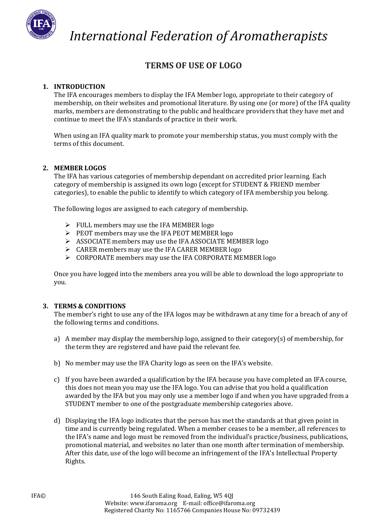

 *International Federation of Aromatherapists*

# **TERMS OF USE OF LOGO**

## **1. INTRODUCTION**

The IFA encourages members to display the IFA Member logo, appropriate to their category of membership, on their websites and promotional literature. By using one (or more) of the IFA quality marks, members are demonstrating to the public and healthcare providers that they have met and continue to meet the IFA's standards of practice in their work.

When using an IFA quality mark to promote your membership status, you must comply with the terms of this document.

### **2. MEMBER LOGOS**

The IFA has various categories of membership dependant on accredited prior learning. Each category of membership is assigned its own logo (except for STUDENT & FRIEND member categories), to enable the public to identify to which category of IFA membership you belong.

The following logos are assigned to each category of membership.

- $\triangleright$  FULL members may use the IFA MEMBER logo
- $\triangleright$  PEOT members may use the IFA PEOT MEMBER logo
- ASSOCIATE members may use the IFA ASSOCIATE MEMBER logo
- $\triangleright$  CARER members may use the IFA CARER MEMBER logo
- $\triangleright$  CORPORATE members may use the IFA CORPORATE MEMBER logo

Once you have logged into the members area you will be able to download the logo appropriate to you.

#### **3. TERMS & CONDITIONS**

The member's right to use any of the IFA logos may be withdrawn at any time for a breach of any of the following terms and conditions.

- a) A member may display the membership logo, assigned to their category(s) of membership, for the term they are registered and have paid the relevant fee.
- b) No member may use the IFA Charity logo as seen on the IFA's website.
- c) If you have been awarded a qualification by the IFA because you have completed an IFA course, this does not mean you may use the IFA logo. You can advise that you hold a qualification awarded by the IFA but you may only use a member logo if and when you have upgraded from a STUDENT member to one of the postgraduate membership categories above.
- d) Displaying the IFA logo indicates that the person has met the standards at that given point in time and is currently being regulated. When a member ceases to be a member, all references to the IFA's name and logo must be removed from the individual's practice/business, publications, promotional material, and websites no later than one month after termination of membership. After this date, use of the logo will become an infringement of the IFA's Intellectual Property Rights.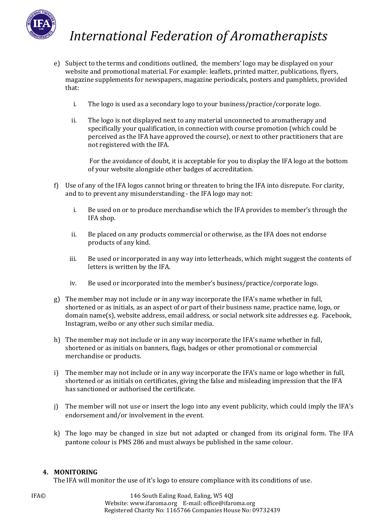

# *International Federation of Aromatherapists*

- e) Subject to the terms and conditions outlined, the members' logo may be displayed on your website and promotional material. For example: leaflets, printed matter, publications, flyers, magazine supplements for newspapers, magazine periodicals, posters and pamphlets, provided that:
	- i. The logo is used as a secondary logo to your business/practice/corporate logo.
	- ii. The logo is not displayed next to any material unconnected to aromatherapy and specifically your qualification, in connection with course promotion (which could be perceived as the IFA have approved the course), or next to other practitioners that are not registered with the IFA.

For the avoidance of doubt, it is acceptable for you to display the IFA logo at the bottom of your website alongside other badges of accreditation.

- f) Use of any of the IFA logos cannot bring or threaten to bring the IFA into disrepute. For clarity, and to to prevent any misunderstanding - the IFA logo may not:
	- i. Be used on or to produce merchandise which the IFA provides to member's through the IFA shop.
	- ii. Be placed on any products commercial or otherwise, as the IFA does not endorse products of any kind.
	- iii. Be used or incorporated in any way into letterheads, which might suggest the contents of letters is written by the IFA.
	- iv. Be used or incorporated into the member's business/practice/corporate logo.
- g) The member may not include or in any way incorporate the IFA's name whether in full, shortened or as initials, as an aspect of or part of their business name, practice name, logo, or domain name(s), website address, email address, or social network site addresses e.g. Facebook, Instagram, weibo or any other such similar media.
- h) The member may not include or in any way incorporate the IFA's name whether in full, shortened or as initials on banners, flags, badges or other promotional or commercial merchandise or products.
- i) The member may not include or in any way incorporate the IFA's name or logo whether in full, shortened or as initials on certificates, giving the false and misleading impression that the IFA has sanctioned or authorised the certificate.
- j) The member will not use or insert the logo into any event publicity, which could imply the IFA's endorsement and/or involvement in the event.
- k) The logo may be changed in size but not adapted or changed from its original form. The IFA pantone colour is PMS 286 and must always be published in the same colour.

### **4. MONITORING**

The IFA will monitor the use of it's logo to ensure compliance with its conditions of use.